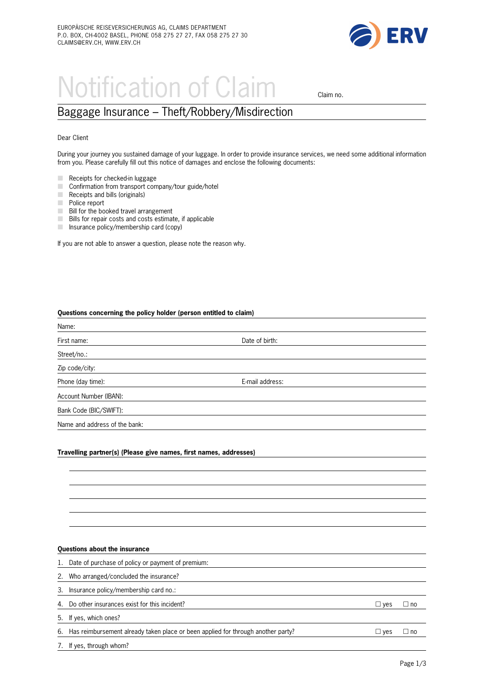

# Notification of Claim claim no.

## Baggage Insurance – Theft/Robbery/Misdirection

#### Dear Client

During your journey you sustained damage of your luggage. In order to provide insurance services, we need some additional information from you. Please carefully fill out this notice of damages and enclose the following documents:

- $\blacksquare$  Receipts for checked-in luggage
- m. Confirmation from transport company/tour guide/hotel
- $\Box$  Receipts and bills (originals)
- $\Box$  Police report
- **EXECUTE:** Bill for the booked travel arrangement
- **EXALUTE:** Bills for repair costs and costs estimate, if applicable
- $\blacksquare$  Insurance policy/membership card (copy)

If you are not able to answer a question, please note the reason why.

#### **Questions concerning the policy holder (person entitled to claim)**

| Name:                                                                          |                 |  |
|--------------------------------------------------------------------------------|-----------------|--|
| First name:                                                                    | Date of birth:  |  |
| Street/no.:                                                                    |                 |  |
| Zip code/city:                                                                 |                 |  |
| Phone (day time):                                                              | E-mail address: |  |
| Account Number (IBAN):                                                         |                 |  |
| Bank Code (BIC/SWIFT):                                                         |                 |  |
| Name and address of the bank:                                                  |                 |  |
|                                                                                |                 |  |
| Toront Boycan and all the computer and control float and computer delivery and |                 |  |

#### **Travelling partner(s) (Please give names, first names, addresses)**

#### **Questions about the insurance**

1. Date of purchase of policy or payment of premium:

2. Who arranged/concluded the insurance?

3. Insurance policy/membership card no.:

4. Do other insurances exist for this incident?  $\Box$  yes  $\Box$  no

5. If yes, which ones?

6. Has reimbursement already taken place or been applied for through another party?  $\square$  yes  $\square$  no

7. If yes, through whom?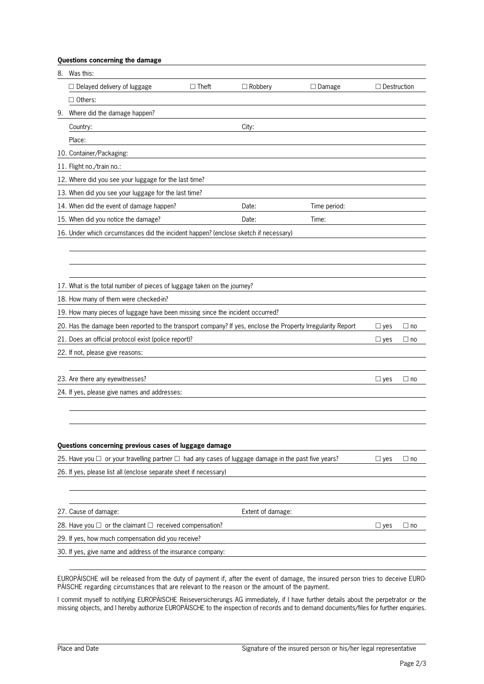### **Questions concerning the damage**

| $\Box$ Delayed delivery of luggage<br>$\Box$ Theft<br>$\Box$ Robbery<br>$\Box$ Destruction<br>$\Box$ Damage<br>$\Box$ Others:<br>Where did the damage happen?<br>9.<br>Country:<br>City:<br>Place:<br>10. Container/Packaging: |           |  |  |  |  |  |  |  |  |  |
|--------------------------------------------------------------------------------------------------------------------------------------------------------------------------------------------------------------------------------|-----------|--|--|--|--|--|--|--|--|--|
|                                                                                                                                                                                                                                |           |  |  |  |  |  |  |  |  |  |
|                                                                                                                                                                                                                                |           |  |  |  |  |  |  |  |  |  |
|                                                                                                                                                                                                                                |           |  |  |  |  |  |  |  |  |  |
|                                                                                                                                                                                                                                |           |  |  |  |  |  |  |  |  |  |
|                                                                                                                                                                                                                                |           |  |  |  |  |  |  |  |  |  |
|                                                                                                                                                                                                                                |           |  |  |  |  |  |  |  |  |  |
| 11. Flight no./train no.:                                                                                                                                                                                                      |           |  |  |  |  |  |  |  |  |  |
| 12. Where did you see your luggage for the last time?                                                                                                                                                                          |           |  |  |  |  |  |  |  |  |  |
| 13. When did you see your luggage for the last time?                                                                                                                                                                           |           |  |  |  |  |  |  |  |  |  |
| 14. When did the event of damage happen?<br>Time period:<br>Date:                                                                                                                                                              |           |  |  |  |  |  |  |  |  |  |
| 15. When did you notice the damage?<br>Date:<br>Time:                                                                                                                                                                          |           |  |  |  |  |  |  |  |  |  |
| 16. Under which circumstances did the incident happen? (enclose sketch if necessary)                                                                                                                                           |           |  |  |  |  |  |  |  |  |  |
|                                                                                                                                                                                                                                |           |  |  |  |  |  |  |  |  |  |
|                                                                                                                                                                                                                                |           |  |  |  |  |  |  |  |  |  |
|                                                                                                                                                                                                                                |           |  |  |  |  |  |  |  |  |  |
| 17. What is the total number of pieces of luggage taken on the journey?                                                                                                                                                        |           |  |  |  |  |  |  |  |  |  |
| 18. How many of them were checked-in?                                                                                                                                                                                          |           |  |  |  |  |  |  |  |  |  |
| 19. How many pieces of luggage have been missing since the incident occurred?                                                                                                                                                  |           |  |  |  |  |  |  |  |  |  |
| 20. Has the damage been reported to the transport company? If yes, enclose the Property Irregularity Report<br>$\Box$ yes                                                                                                      | $\Box$ no |  |  |  |  |  |  |  |  |  |
| 21. Does an official protocol exist (police report)?<br>$\Box$ yes                                                                                                                                                             | $\Box$ no |  |  |  |  |  |  |  |  |  |
| 22. If not, please give reasons:                                                                                                                                                                                               |           |  |  |  |  |  |  |  |  |  |
|                                                                                                                                                                                                                                |           |  |  |  |  |  |  |  |  |  |
| 23. Are there any eyewitnesses?<br>$\Box$ yes                                                                                                                                                                                  | $\Box$ no |  |  |  |  |  |  |  |  |  |
| 24. If yes, please give names and addresses:                                                                                                                                                                                   |           |  |  |  |  |  |  |  |  |  |
|                                                                                                                                                                                                                                |           |  |  |  |  |  |  |  |  |  |
|                                                                                                                                                                                                                                |           |  |  |  |  |  |  |  |  |  |
|                                                                                                                                                                                                                                |           |  |  |  |  |  |  |  |  |  |
| Questions concerning previous cases of luggage damage                                                                                                                                                                          |           |  |  |  |  |  |  |  |  |  |
| 25. Have you $\Box$ or your travelling partner $\Box$ had any cases of luggage damage in the past five years?<br>$\Box$ yes                                                                                                    | $\Box$ no |  |  |  |  |  |  |  |  |  |
| 26. If yes, please list all (enclose separate sheet if necessary)                                                                                                                                                              |           |  |  |  |  |  |  |  |  |  |
|                                                                                                                                                                                                                                |           |  |  |  |  |  |  |  |  |  |
|                                                                                                                                                                                                                                |           |  |  |  |  |  |  |  |  |  |
| 27. Cause of damage:<br>Extent of damage:                                                                                                                                                                                      |           |  |  |  |  |  |  |  |  |  |
| 28. Have you $\Box$ or the claimant $\Box$ received compensation?<br>$\Box$ yes                                                                                                                                                | $\Box$ no |  |  |  |  |  |  |  |  |  |
| 29. If yes, how much compensation did you receive?                                                                                                                                                                             |           |  |  |  |  |  |  |  |  |  |
| 30. If yes, give name and address of the insurance company:                                                                                                                                                                    |           |  |  |  |  |  |  |  |  |  |

EUROPÄISCHE will be released from the duty of payment if, after the event of damage, the insured person tries to deceive EURO-PÄISCHE regarding circumstances that are relevant to the reason or the amount of the payment.

I commit myself to notifying EUROPÄISCHE Reiseversicherungs AG immediately, if I have further details about the perpetrator or the missing objects, and I hereby authorize EUROPÄISCHE to the inspection of records and to demand documents/files for further enquiries.